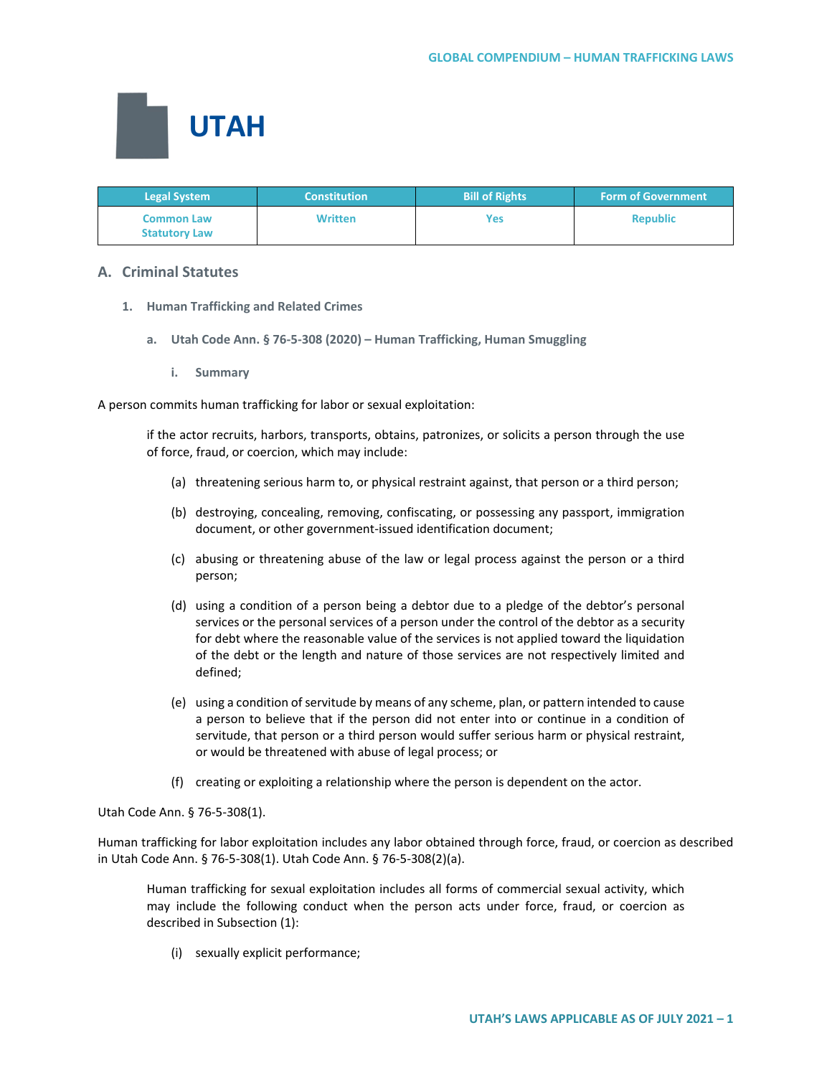

| <b>Legal System</b>                       | <b>Constitution</b> | <b>Bill of Rights</b> | <b>Form of Government</b> |
|-------------------------------------------|---------------------|-----------------------|---------------------------|
| <b>Common Law</b><br><b>Statutory Law</b> | <b>Written</b>      | Yes                   | <b>Republic</b>           |

# **A. Criminal Statutes**

- **1. Human Trafficking and Related Crimes**
	- **a. Utah Code Ann. § 76-5-308 (2020) – Human Trafficking, Human Smuggling**
		- **i. Summary**

A person commits human trafficking for labor or sexual exploitation:

if the actor recruits, harbors, transports, obtains, patronizes, or solicits a person through the use of force, fraud, or coercion, which may include:

- (a) threatening serious harm to, or physical restraint against, that person or a third person;
- (b) destroying, concealing, removing, confiscating, or possessing any passport, immigration document, or other government-issued identification document;
- (c) abusing or threatening abuse of the law or legal process against the person or a third person;
- (d) using a condition of a person being a debtor due to a pledge of the debtor's personal services or the personal services of a person under the control of the debtor as a security for debt where the reasonable value of the services is not applied toward the liquidation of the debt or the length and nature of those services are not respectively limited and defined;
- (e) using a condition of servitude by means of any scheme, plan, or pattern intended to cause a person to believe that if the person did not enter into or continue in a condition of servitude, that person or a third person would suffer serious harm or physical restraint, or would be threatened with abuse of legal process; or
- (f) creating or exploiting a relationship where the person is dependent on the actor.

Utah Code Ann. § 76-5-308(1).

Human trafficking for labor exploitation includes any labor obtained through force, fraud, or coercion as described in Utah Code Ann. § 76-5-308(1). Utah Code Ann. § 76-5-308(2)(a).

Human trafficking for sexual exploitation includes all forms of commercial sexual activity, which may include the following conduct when the person acts under force, fraud, or coercion as described in Subsection (1):

(i) sexually explicit performance;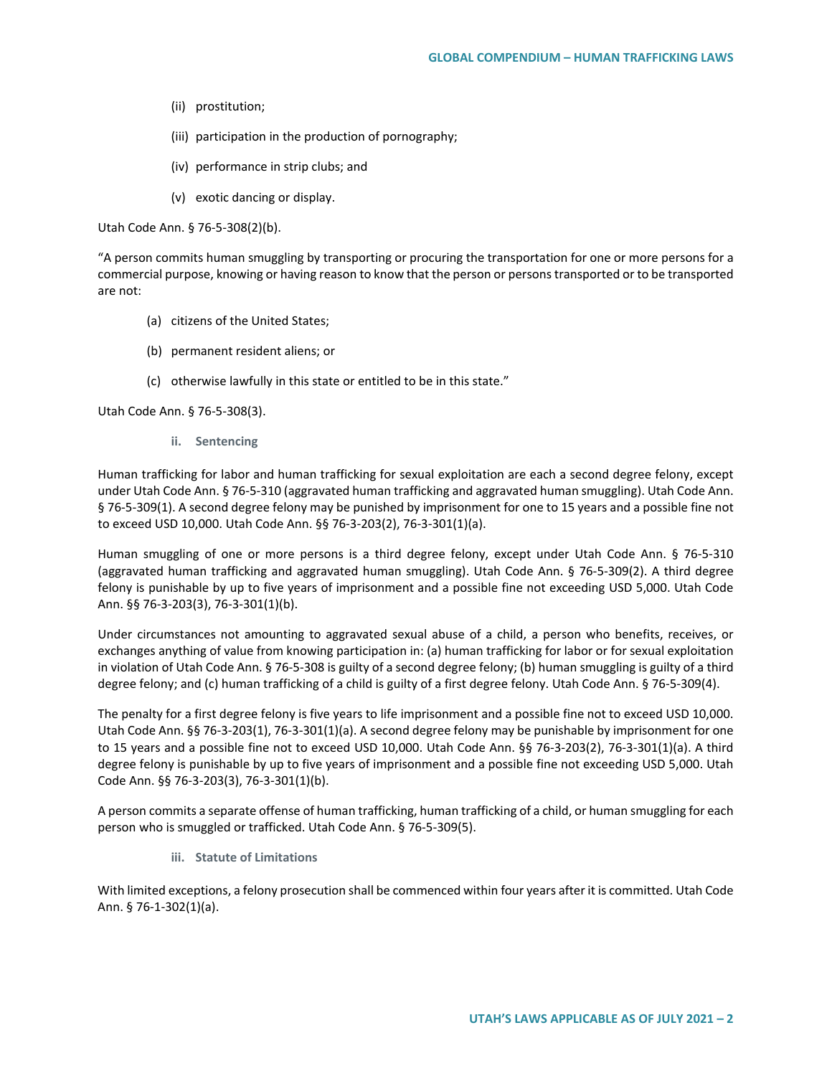- (ii) prostitution;
- (iii) participation in the production of pornography;
- (iv) performance in strip clubs; and
- (v) exotic dancing or display.

Utah Code Ann. § 76-5-308(2)(b).

"A person commits human smuggling by transporting or procuring the transportation for one or more persons for a commercial purpose, knowing or having reason to know that the person or persons transported or to be transported are not:

- (a) citizens of the United States;
- (b) permanent resident aliens; or
- (c) otherwise lawfully in this state or entitled to be in this state."

Utah Code Ann. § 76-5-308(3).

**ii. Sentencing**

Human trafficking for labor and human trafficking for sexual exploitation are each a second degree felony, except under Utah Code Ann. § 76-5-310 (aggravated human trafficking and aggravated human smuggling). Utah Code Ann. § 76-5-309(1). A second degree felony may be punished by imprisonment for one to 15 years and a possible fine not to exceed USD 10,000. Utah Code Ann. §§ 76-3-203(2), 76-3-301(1)(a).

Human smuggling of one or more persons is a third degree felony, except under Utah Code Ann. § 76-5-310 (aggravated human trafficking and aggravated human smuggling). Utah Code Ann. § 76-5-309(2). A third degree felony is punishable by up to five years of imprisonment and a possible fine not exceeding USD 5,000. Utah Code Ann. §§ 76-3-203(3), 76-3-301(1)(b).

Under circumstances not amounting to aggravated sexual abuse of a child, a person who benefits, receives, or exchanges anything of value from knowing participation in: (a) human trafficking for labor or for sexual exploitation in violation of Utah Code Ann. § 76-5-308 is guilty of a second degree felony; (b) human smuggling is guilty of a third degree felony; and (c) human trafficking of a child is guilty of a first degree felony. Utah Code Ann. § 76-5-309(4).

The penalty for a first degree felony is five years to life imprisonment and a possible fine not to exceed USD 10,000. Utah Code Ann. §§ 76-3-203(1), 76-3-301(1)(a). A second degree felony may be punishable by imprisonment for one to 15 years and a possible fine not to exceed USD 10,000. Utah Code Ann. §§ 76-3-203(2), 76-3-301(1)(a). A third degree felony is punishable by up to five years of imprisonment and a possible fine not exceeding USD 5,000. Utah Code Ann. §§ 76-3-203(3), 76-3-301(1)(b).

A person commits a separate offense of human trafficking, human trafficking of a child, or human smuggling for each person who is smuggled or trafficked. Utah Code Ann. § 76-5-309(5).

**iii. Statute of Limitations**

With limited exceptions, a felony prosecution shall be commenced within four years after it is committed. Utah Code Ann. § 76-1-302(1)(a).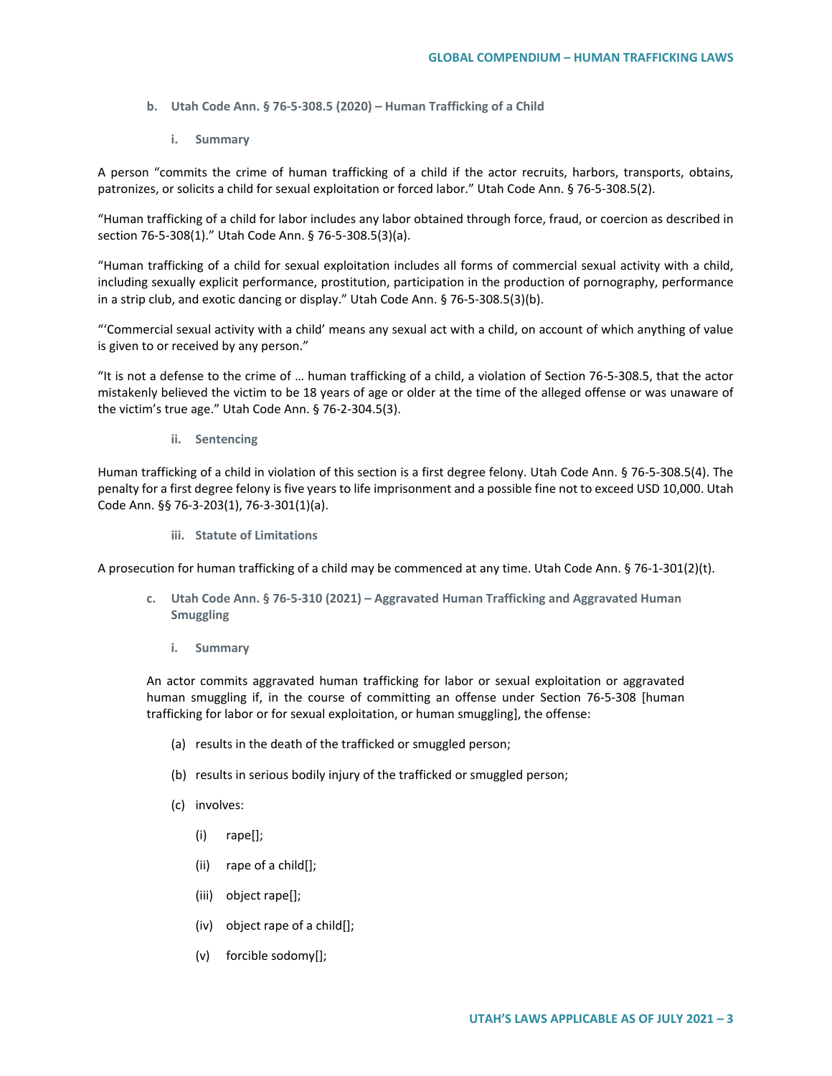- **b. Utah Code Ann. § 76-5-308.5 (2020) – Human Trafficking of a Child**
	- **i. Summary**

A person "commits the crime of human trafficking of a child if the actor recruits, harbors, transports, obtains, patronizes, or solicits a child for sexual exploitation or forced labor." Utah Code Ann. § 76-5-308.5(2).

"Human trafficking of a child for labor includes any labor obtained through force, fraud, or coercion as described in section 76-5-308(1)." Utah Code Ann. § 76-5-308.5(3)(a).

"Human trafficking of a child for sexual exploitation includes all forms of commercial sexual activity with a child, including sexually explicit performance, prostitution, participation in the production of pornography, performance in a strip club, and exotic dancing or display." Utah Code Ann. § 76-5-308.5(3)(b).

"'Commercial sexual activity with a child' means any sexual act with a child, on account of which anything of value is given to or received by any person."

"It is not a defense to the crime of … human trafficking of a child, a violation of Section 76-5-308.5, that the actor mistakenly believed the victim to be 18 years of age or older at the time of the alleged offense or was unaware of the victim's true age." Utah Code Ann. § 76-2-304.5(3).

**ii. Sentencing**

Human trafficking of a child in violation of this section is a first degree felony. Utah Code Ann. § 76-5-308.5(4). The penalty for a first degree felony is five years to life imprisonment and a possible fine not to exceed USD 10,000. Utah Code Ann. §§ 76-3-203(1), 76-3-301(1)(a).

**iii. Statute of Limitations**

A prosecution for human trafficking of a child may be commenced at any time. Utah Code Ann. § 76-1-301(2)(t).

- **c. Utah Code Ann. § 76-5-310 (2021) – Aggravated Human Trafficking and Aggravated Human Smuggling** 
	- **i. Summary**

An actor commits aggravated human trafficking for labor or sexual exploitation or aggravated human smuggling if, in the course of committing an offense under Section 76-5-308 [human trafficking for labor or for sexual exploitation, or human smuggling], the offense:

- (a) results in the death of the trafficked or smuggled person;
- (b) results in serious bodily injury of the trafficked or smuggled person;
- (c) involves:
	- (i) rape[];
	- (ii) rape of a child[];
	- (iii) object rape[];
	- (iv) object rape of a child[];
	- (v) forcible sodomy[];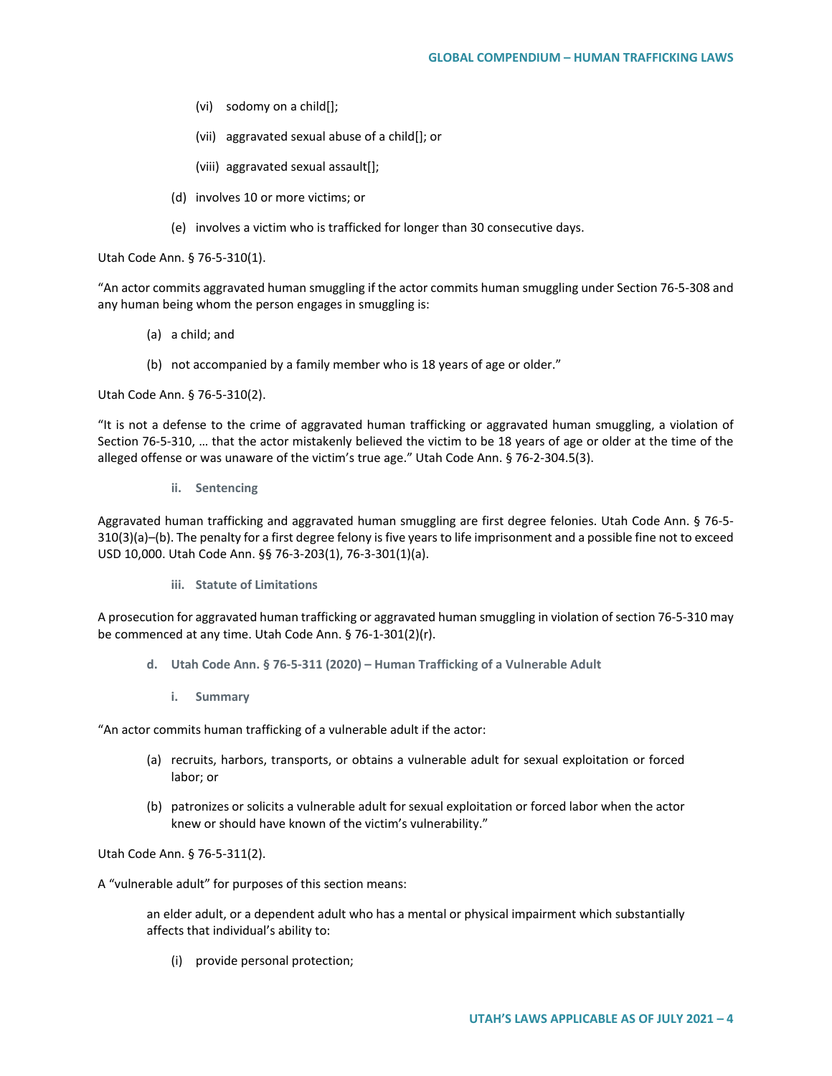- (vi) sodomy on a child[];
- (vii) aggravated sexual abuse of a child[]; or
- (viii) aggravated sexual assault[];
- (d) involves 10 or more victims; or
- (e) involves a victim who is trafficked for longer than 30 consecutive days.

Utah Code Ann. § 76-5-310(1).

"An actor commits aggravated human smuggling if the actor commits human smuggling under Section 76-5-308 and any human being whom the person engages in smuggling is:

- (a) a child; and
- (b) not accompanied by a family member who is 18 years of age or older."

Utah Code Ann. § 76-5-310(2).

"It is not a defense to the crime of aggravated human trafficking or aggravated human smuggling, a violation of Section 76-5-310, … that the actor mistakenly believed the victim to be 18 years of age or older at the time of the alleged offense or was unaware of the victim's true age." Utah Code Ann. § 76-2-304.5(3).

**ii. Sentencing**

Aggravated human trafficking and aggravated human smuggling are first degree felonies. Utah Code Ann. § 76-5- 310(3)(a)–(b). The penalty for a first degree felony is five years to life imprisonment and a possible fine not to exceed USD 10,000. Utah Code Ann. §§ 76-3-203(1), 76-3-301(1)(a).

**iii. Statute of Limitations**

A prosecution for aggravated human trafficking or aggravated human smuggling in violation of section 76-5-310 may be commenced at any time. Utah Code Ann. § 76-1-301(2)(r).

- **d. Utah Code Ann. § 76-5-311 (2020) – Human Trafficking of a Vulnerable Adult** 
	- **i. Summary**

"An actor commits human trafficking of a vulnerable adult if the actor:

- (a) recruits, harbors, transports, or obtains a vulnerable adult for sexual exploitation or forced labor; or
- (b) patronizes or solicits a vulnerable adult for sexual exploitation or forced labor when the actor knew or should have known of the victim's vulnerability."

Utah Code Ann. § 76-5-311(2).

A "vulnerable adult" for purposes of this section means:

an elder adult, or a dependent adult who has a mental or physical impairment which substantially affects that individual's ability to:

(i) provide personal protection;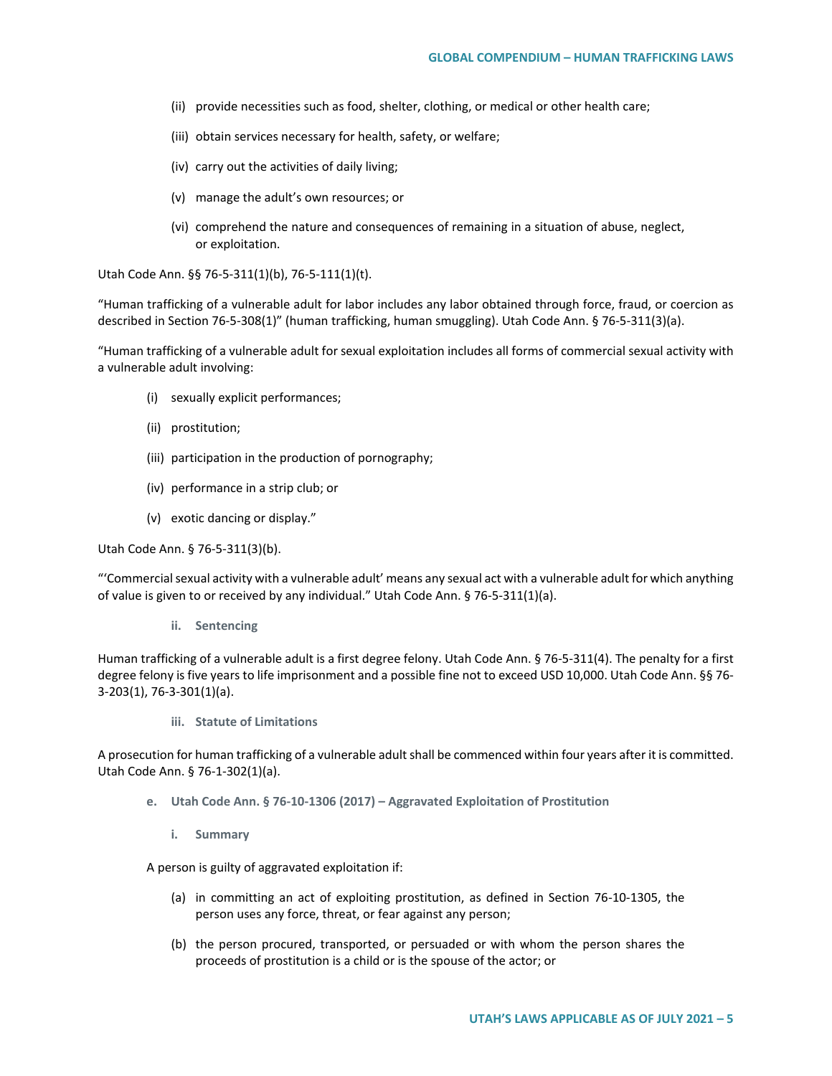- (ii) provide necessities such as food, shelter, clothing, or medical or other health care;
- (iii) obtain services necessary for health, safety, or welfare;
- (iv) carry out the activities of daily living;
- (v) manage the adult's own resources; or
- (vi) comprehend the nature and consequences of remaining in a situation of abuse, neglect, or exploitation.

Utah Code Ann. §§ 76-5-311(1)(b), 76-5-111(1)(t).

"Human trafficking of a vulnerable adult for labor includes any labor obtained through force, fraud, or coercion as described in Section 76-5-308(1)" (human trafficking, human smuggling). Utah Code Ann. § 76-5-311(3)(a).

"Human trafficking of a vulnerable adult for sexual exploitation includes all forms of commercial sexual activity with a vulnerable adult involving:

- (i) sexually explicit performances;
- (ii) prostitution;
- (iii) participation in the production of pornography;
- (iv) performance in a strip club; or
- (v) exotic dancing or display."

Utah Code Ann. § 76-5-311(3)(b).

"'Commercial sexual activity with a vulnerable adult' means any sexual act with a vulnerable adult for which anything of value is given to or received by any individual." Utah Code Ann. § 76-5-311(1)(a).

**ii. Sentencing**

Human trafficking of a vulnerable adult is a first degree felony. Utah Code Ann. § 76-5-311(4). The penalty for a first degree felony is five years to life imprisonment and a possible fine not to exceed USD 10,000. Utah Code Ann. §§ 76- 3-203(1), 76-3-301(1)(a).

**iii. Statute of Limitations**

A prosecution for human trafficking of a vulnerable adult shall be commenced within four years after it is committed. Utah Code Ann. § 76-1-302(1)(a).

- **e. Utah Code Ann. § 76-10-1306 (2017) – Aggravated Exploitation of Prostitution**
	- **i. Summary**

A person is guilty of aggravated exploitation if:

- (a) in committing an act of exploiting prostitution, as defined in Section 76-10-1305, the person uses any force, threat, or fear against any person;
- (b) the person procured, transported, or persuaded or with whom the person shares the proceeds of prostitution is a child or is the spouse of the actor; or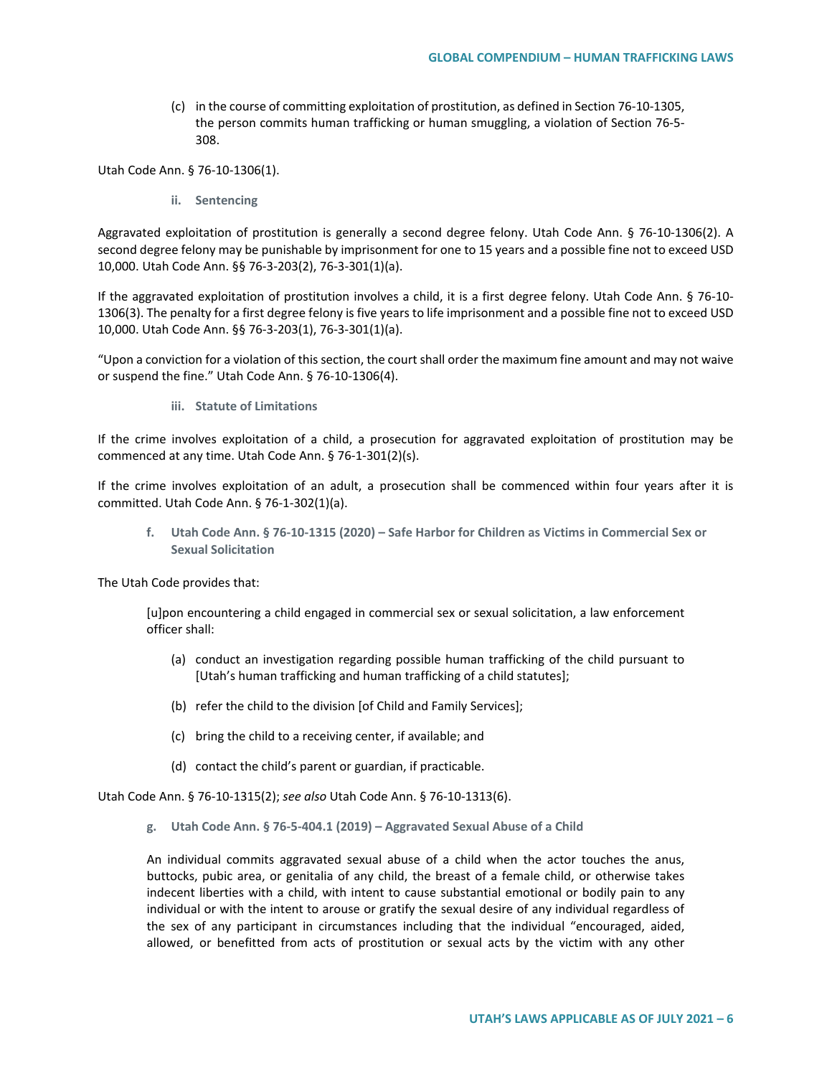(c) in the course of committing exploitation of prostitution, as defined in Section 76-10-1305, the person commits human trafficking or human smuggling, a violation of Section 76-5- 308.

Utah Code Ann. § 76-10-1306(1).

**ii. Sentencing**

Aggravated exploitation of prostitution is generally a second degree felony. Utah Code Ann. § 76-10-1306(2). A second degree felony may be punishable by imprisonment for one to 15 years and a possible fine not to exceed USD 10,000. Utah Code Ann. §§ 76-3-203(2), 76-3-301(1)(a).

If the aggravated exploitation of prostitution involves a child, it is a first degree felony. Utah Code Ann. § 76-10- 1306(3). The penalty for a first degree felony is five years to life imprisonment and a possible fine not to exceed USD 10,000. Utah Code Ann. §§ 76-3-203(1), 76-3-301(1)(a).

"Upon a conviction for a violation of this section, the court shall order the maximum fine amount and may not waive or suspend the fine." Utah Code Ann. § 76-10-1306(4).

**iii. Statute of Limitations**

If the crime involves exploitation of a child, a prosecution for aggravated exploitation of prostitution may be commenced at any time. Utah Code Ann. § 76-1-301(2)(s).

If the crime involves exploitation of an adult, a prosecution shall be commenced within four years after it is committed. Utah Code Ann. § 76-1-302(1)(a).

**f. Utah Code Ann. § 76-10-1315 (2020) – Safe Harbor for Children as Victims in Commercial Sex or Sexual Solicitation**

The Utah Code provides that:

[u]pon encountering a child engaged in commercial sex or sexual solicitation, a law enforcement officer shall:

- (a) conduct an investigation regarding possible human trafficking of the child pursuant to [Utah's human trafficking and human trafficking of a child statutes];
- (b) refer the child to the division [of Child and Family Services];
- (c) bring the child to a receiving center, if available; and
- (d) contact the child's parent or guardian, if practicable.

Utah Code Ann. § 76-10-1315(2); *see also* Utah Code Ann. § 76-10-1313(6).

**g. Utah Code Ann. § 76-5-404.1 (2019) – Aggravated Sexual Abuse of a Child**

An individual commits aggravated sexual abuse of a child when the actor touches the anus, buttocks, pubic area, or genitalia of any child, the breast of a female child, or otherwise takes indecent liberties with a child, with intent to cause substantial emotional or bodily pain to any individual or with the intent to arouse or gratify the sexual desire of any individual regardless of the sex of any participant in circumstances including that the individual "encouraged, aided, allowed, or benefitted from acts of prostitution or sexual acts by the victim with any other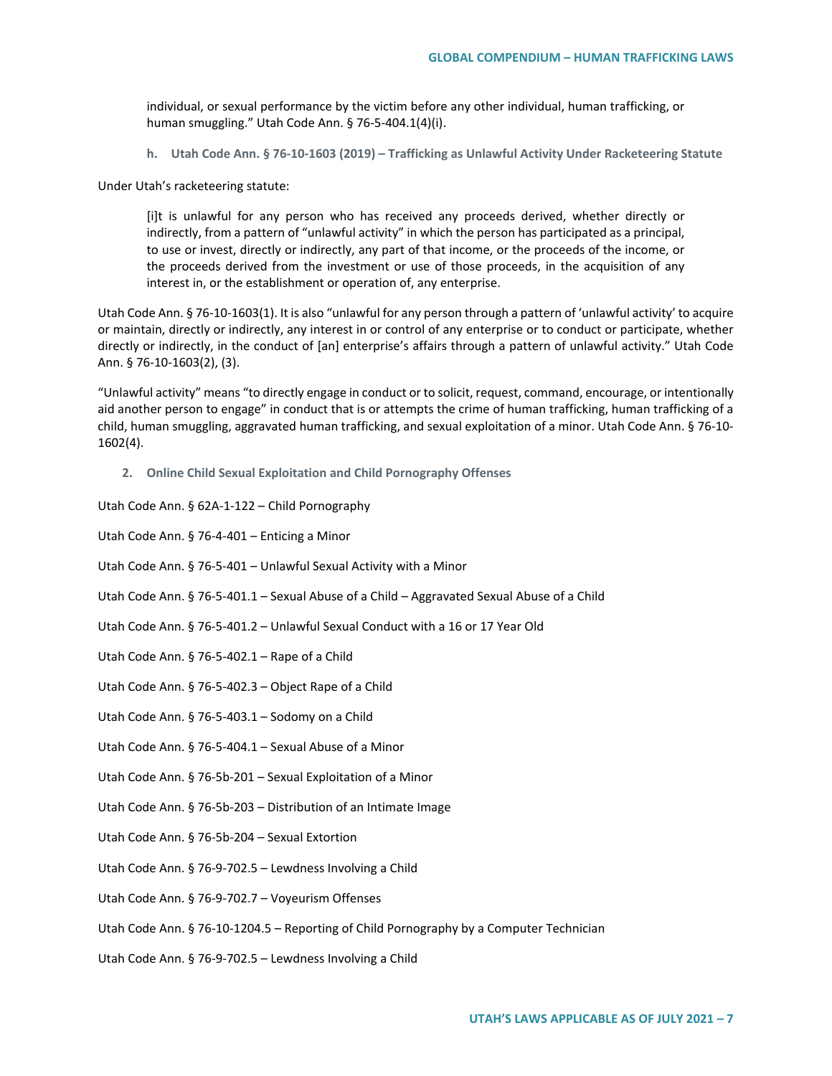individual, or sexual performance by the victim before any other individual, human trafficking, or human smuggling." Utah Code Ann. § 76-5-404.1(4)(i).

**h. Utah Code Ann. § 76-10-1603 (2019) – Trafficking as Unlawful Activity Under Racketeering Statute**

Under Utah's racketeering statute:

[i]t is unlawful for any person who has received any proceeds derived, whether directly or indirectly, from a pattern of "unlawful activity" in which the person has participated as a principal, to use or invest, directly or indirectly, any part of that income, or the proceeds of the income, or the proceeds derived from the investment or use of those proceeds, in the acquisition of any interest in, or the establishment or operation of, any enterprise.

Utah Code Ann. § 76-10-1603(1). It is also "unlawful for any person through a pattern of 'unlawful activity' to acquire or maintain, directly or indirectly, any interest in or control of any enterprise or to conduct or participate, whether directly or indirectly, in the conduct of [an] enterprise's affairs through a pattern of unlawful activity." Utah Code Ann. § 76-10-1603(2), (3).

"Unlawful activity" means "to directly engage in conduct or to solicit, request, command, encourage, or intentionally aid another person to engage" in conduct that is or attempts the crime of human trafficking, human trafficking of a child, human smuggling, aggravated human trafficking, and sexual exploitation of a minor. Utah Code Ann. § 76-10- 1602(4).

**2. Online Child Sexual Exploitation and Child Pornography Offenses**

Utah Code Ann. § 62A-1-122 – Child Pornography

Utah Code Ann. § 76-4-401 – Enticing a Minor

- Utah Code Ann. § 76-5-401 Unlawful Sexual Activity with a Minor
- Utah Code Ann. § 76-5-401.1 Sexual Abuse of a Child Aggravated Sexual Abuse of a Child
- Utah Code Ann. § 76-5-401.2 Unlawful Sexual Conduct with a 16 or 17 Year Old
- Utah Code Ann. § 76-5-402.1 Rape of a Child
- Utah Code Ann. § 76-5-402.3 Object Rape of a Child
- Utah Code Ann. § 76-5-403.1 Sodomy on a Child
- Utah Code Ann. § 76-5-404.1 Sexual Abuse of a Minor

Utah Code Ann. § 76-5b-201 – Sexual Exploitation of a Minor

Utah Code Ann. § 76-5b-203 – Distribution of an Intimate Image

- Utah Code Ann. § 76-5b-204 Sexual Extortion
- Utah Code Ann. § 76-9-702.5 Lewdness Involving a Child
- Utah Code Ann. § 76-9-702.7 Voyeurism Offenses
- Utah Code Ann. § 76-10-1204.5 Reporting of Child Pornography by a Computer Technician

Utah Code Ann. § 76-9-702.5 – Lewdness Involving a Child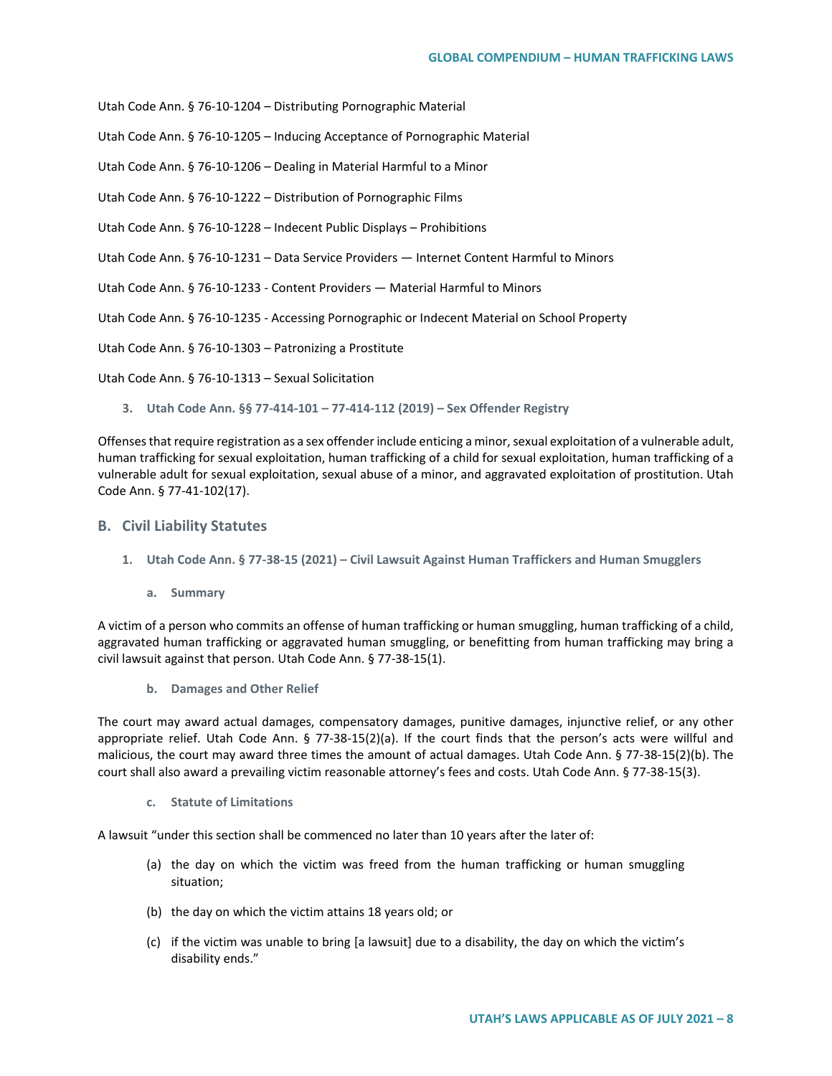Utah Code Ann. § 76-10-1204 – Distributing Pornographic Material

Utah Code Ann. § 76-10-1205 – Inducing Acceptance of Pornographic Material

Utah Code Ann. § 76-10-1206 – Dealing in Material Harmful to a Minor

Utah Code Ann. § 76-10-1222 – Distribution of Pornographic Films

Utah Code Ann. § 76-10-1228 – Indecent Public Displays – Prohibitions

Utah Code Ann. § 76-10-1231 – Data Service Providers — Internet Content Harmful to Minors

Utah Code Ann. § 76-10-1233 - Content Providers — Material Harmful to Minors

Utah Code Ann. § 76-10-1235 - Accessing Pornographic or Indecent Material on School Property

Utah Code Ann. § 76-10-1303 – Patronizing a Prostitute

Utah Code Ann. § 76-10-1313 – Sexual Solicitation

**3. Utah Code Ann. §§ 77-414-101 – 77-414-112 (2019) – Sex Offender Registry**

Offenses that require registration as a sex offender include enticing a minor, sexual exploitation of a vulnerable adult, human trafficking for sexual exploitation, human trafficking of a child for sexual exploitation, human trafficking of a vulnerable adult for sexual exploitation, sexual abuse of a minor, and aggravated exploitation of prostitution. Utah Code Ann. § 77-41-102(17).

#### **B. Civil Liability Statutes**

- **1. Utah Code Ann. § 77-38-15 (2021) – Civil Lawsuit Against Human Traffickers and Human Smugglers**
	- **a. Summary**

A victim of a person who commits an offense of human trafficking or human smuggling, human trafficking of a child, aggravated human trafficking or aggravated human smuggling, or benefitting from human trafficking may bring a civil lawsuit against that person. Utah Code Ann. § 77-38-15(1).

**b. Damages and Other Relief**

The court may award actual damages, compensatory damages, punitive damages, injunctive relief, or any other appropriate relief. Utah Code Ann. § 77-38-15(2)(a). If the court finds that the person's acts were willful and malicious, the court may award three times the amount of actual damages. Utah Code Ann. § 77-38-15(2)(b). The court shall also award a prevailing victim reasonable attorney's fees and costs. Utah Code Ann. § 77-38-15(3).

**c. Statute of Limitations**

A lawsuit "under this section shall be commenced no later than 10 years after the later of:

- (a) the day on which the victim was freed from the human trafficking or human smuggling situation;
- (b) the day on which the victim attains 18 years old; or
- (c) if the victim was unable to bring [a lawsuit] due to a disability, the day on which the victim's disability ends."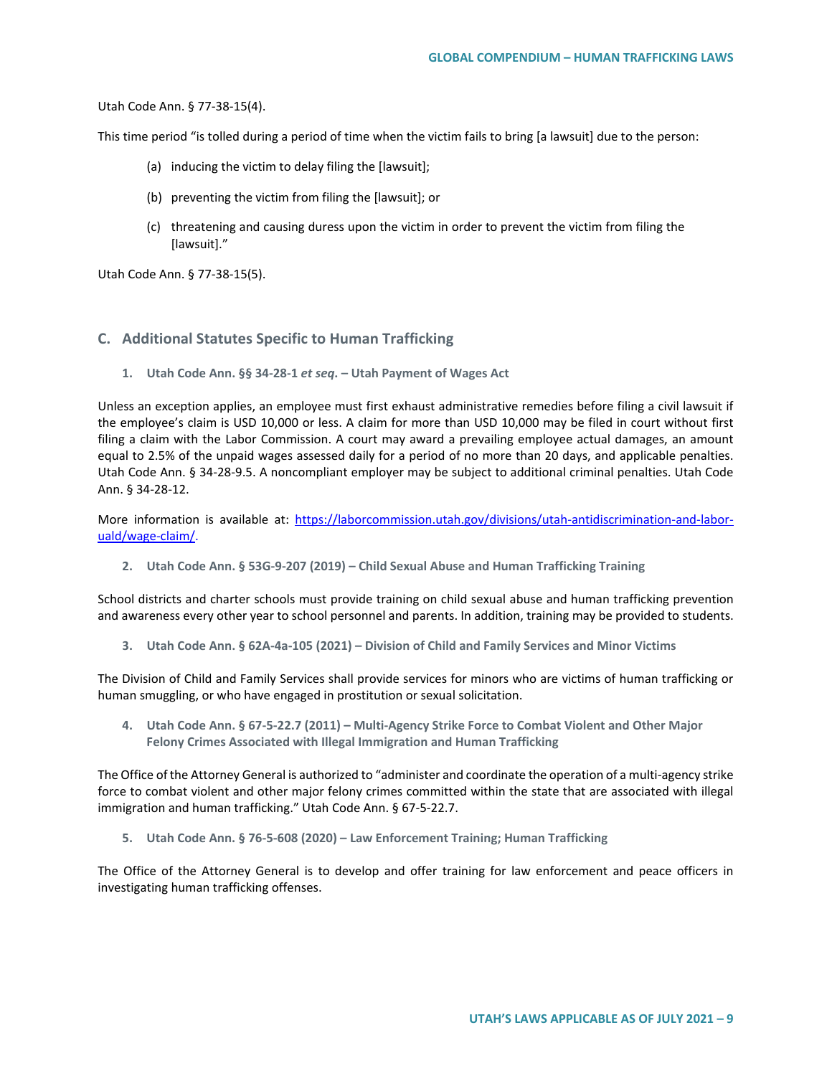Utah Code Ann. § 77-38-15(4).

This time period "is tolled during a period of time when the victim fails to bring [a lawsuit] due to the person:

- (a) inducing the victim to delay filing the [lawsuit];
- (b) preventing the victim from filing the [lawsuit]; or
- (c) threatening and causing duress upon the victim in order to prevent the victim from filing the [lawsuit]."

Utah Code Ann. § 77-38-15(5).

## **C. Additional Statutes Specific to Human Trafficking**

**1. Utah Code Ann. §§ 34-28-1** *et seq***. – Utah Payment of Wages Act**

Unless an exception applies, an employee must first exhaust administrative remedies before filing a civil lawsuit if the employee's claim is USD 10,000 or less. A claim for more than USD 10,000 may be filed in court without first filing a claim with the Labor Commission. A court may award a prevailing employee actual damages, an amount equal to 2.5% of the unpaid wages assessed daily for a period of no more than 20 days, and applicable penalties. Utah Code Ann. § 34-28-9.5. A noncompliant employer may be subject to additional criminal penalties. Utah Code Ann. § 34-28-12.

More information is available at: [https://laborcommission.utah.gov/divisions/utah-antidiscrimination-and-labor](https://laborcommission.utah.gov/divisions/utah-antidiscrimination-and-labor-uald/wage-claim/)[uald/wage-claim/.](https://laborcommission.utah.gov/divisions/utah-antidiscrimination-and-labor-uald/wage-claim/)

**2. Utah Code Ann. § 53G-9-207 (2019) – Child Sexual Abuse and Human Trafficking Training** 

School districts and charter schools must provide training on child sexual abuse and human trafficking prevention and awareness every other year to school personnel and parents. In addition, training may be provided to students.

**3. Utah Code Ann. § 62A-4a-105 (2021) – Division of Child and Family Services and Minor Victims**

The Division of Child and Family Services shall provide services for minors who are victims of human trafficking or human smuggling, or who have engaged in prostitution or sexual solicitation.

**4. Utah Code Ann. § 67-5-22.7 (2011) – Multi-Agency Strike Force to Combat Violent and Other Major Felony Crimes Associated with Illegal Immigration and Human Trafficking**

The Office of the Attorney General is authorized to "administer and coordinate the operation of a multi-agency strike force to combat violent and other major felony crimes committed within the state that are associated with illegal immigration and human trafficking." Utah Code Ann. § 67-5-22.7.

**5. Utah Code Ann. § 76-5-608 (2020) – Law Enforcement Training; Human Trafficking**

The Office of the Attorney General is to develop and offer training for law enforcement and peace officers in investigating human trafficking offenses.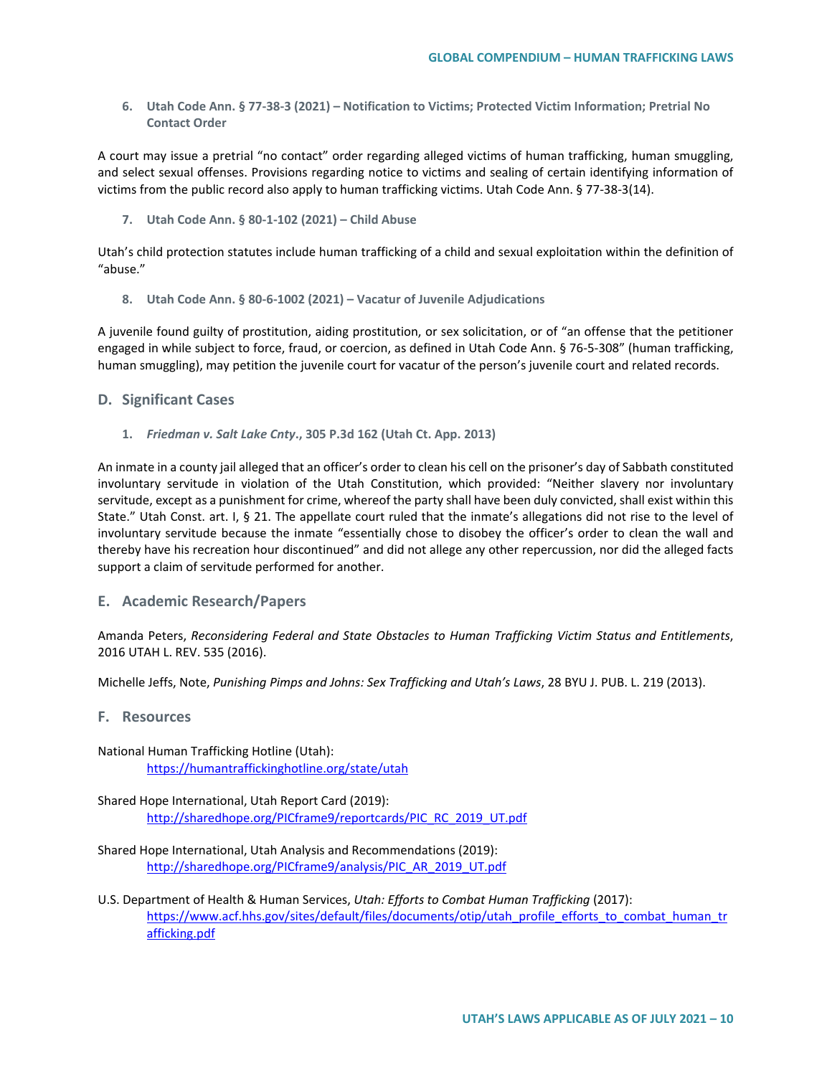**6. Utah Code Ann. § 77-38-3 (2021) – Notification to Victims; Protected Victim Information; Pretrial No Contact Order** 

A court may issue a pretrial "no contact" order regarding alleged victims of human trafficking, human smuggling, and select sexual offenses. Provisions regarding notice to victims and sealing of certain identifying information of victims from the public record also apply to human trafficking victims. Utah Code Ann. § 77-38-3(14).

**7. Utah Code Ann. § 80-1-102 (2021) – Child Abuse**

Utah's child protection statutes include human trafficking of a child and sexual exploitation within the definition of "abuse."

**8. Utah Code Ann. § 80-6-1002 (2021) – Vacatur of Juvenile Adjudications** 

A juvenile found guilty of prostitution, aiding prostitution, or sex solicitation, or of "an offense that the petitioner engaged in while subject to force, fraud, or coercion, as defined in Utah Code Ann. § 76-5-308" (human trafficking, human smuggling), may petition the juvenile court for vacatur of the person's juvenile court and related records.

### **D. Significant Cases**

**1.** *Friedman v. Salt Lake Cnty***., 305 P.3d 162 (Utah Ct. App. 2013)**

An inmate in a county jail alleged that an officer's order to clean his cell on the prisoner's day of Sabbath constituted involuntary servitude in violation of the Utah Constitution, which provided: "Neither slavery nor involuntary servitude, except as a punishment for crime, whereof the party shall have been duly convicted, shall exist within this State." Utah Const. art. I, § 21. The appellate court ruled that the inmate's allegations did not rise to the level of involuntary servitude because the inmate "essentially chose to disobey the officer's order to clean the wall and thereby have his recreation hour discontinued" and did not allege any other repercussion, nor did the alleged facts support a claim of servitude performed for another.

### **E. Academic Research/Papers**

Amanda Peters, *Reconsidering Federal and State Obstacles to Human Trafficking Victim Status and Entitlements*, 2016 UTAH L. REV. 535 (2016).

Michelle Jeffs, Note, *Punishing Pimps and Johns: Sex Trafficking and Utah's Laws*, 28 BYU J. PUB. L. 219 (2013).

- **F. Resources**
- National Human Trafficking Hotline (Utah): <https://humantraffickinghotline.org/state/utah>
- Shared Hope International, Utah Report Card (2019): [http://sharedhope.org/PICframe9/reportcards/PIC\\_RC\\_2019\\_UT.pdf](http://sharedhope.org/PICframe9/reportcards/PIC_RC_2019_UT.pdf)
- Shared Hope International, Utah Analysis and Recommendations (2019): [http://sharedhope.org/PICframe9/analysis/PIC\\_AR\\_2019\\_UT.pdf](http://sharedhope.org/PICframe9/analysis/PIC_AR_2019_UT.pdf)
- U.S. Department of Health & Human Services, *Utah: Efforts to Combat Human Trafficking* (2017): [https://www.acf.hhs.gov/sites/default/files/documents/otip/utah\\_profile\\_efforts\\_to\\_combat\\_human\\_tr](https://www.acf.hhs.gov/sites/default/files/documents/otip/utah_profile_efforts_to_combat_human_trafficking.pdf) [afficking.pdf](https://www.acf.hhs.gov/sites/default/files/documents/otip/utah_profile_efforts_to_combat_human_trafficking.pdf)